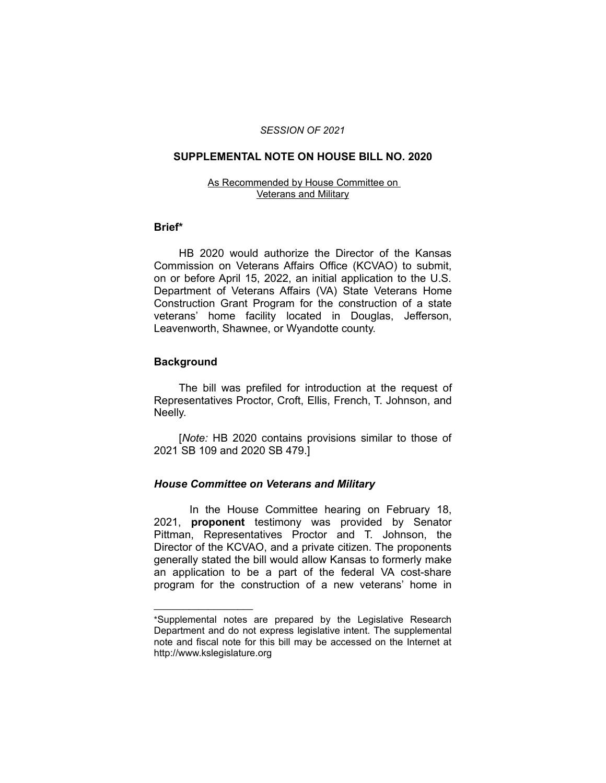#### *SESSION OF 2021*

### **SUPPLEMENTAL NOTE ON HOUSE BILL NO. 2020**

#### As Recommended by House Committee on Veterans and Military

#### **Brief\***

HB 2020 would authorize the Director of the Kansas Commission on Veterans Affairs Office (KCVAO) to submit, on or before April 15, 2022, an initial application to the U.S. Department of Veterans Affairs (VA) State Veterans Home Construction Grant Program for the construction of a state veterans' home facility located in Douglas, Jefferson, Leavenworth, Shawnee, or Wyandotte county.

## **Background**

 $\overline{\phantom{a}}$  , where  $\overline{\phantom{a}}$ 

The bill was prefiled for introduction at the request of Representatives Proctor, Croft, Ellis, French, T. Johnson, and Neelly.

[*Note:* HB 2020 contains provisions similar to those of 2021 SB 109 and 2020 SB 479.]

## *House Committee on Veterans and Military*

In the House Committee hearing on February 18, 2021, **proponent** testimony was provided by Senator Pittman, Representatives Proctor and T. Johnson, the Director of the KCVAO, and a private citizen. The proponents generally stated the bill would allow Kansas to formerly make an application to be a part of the federal VA cost-share program for the construction of a new veterans' home in

<sup>\*</sup>Supplemental notes are prepared by the Legislative Research Department and do not express legislative intent. The supplemental note and fiscal note for this bill may be accessed on the Internet at http://www.kslegislature.org